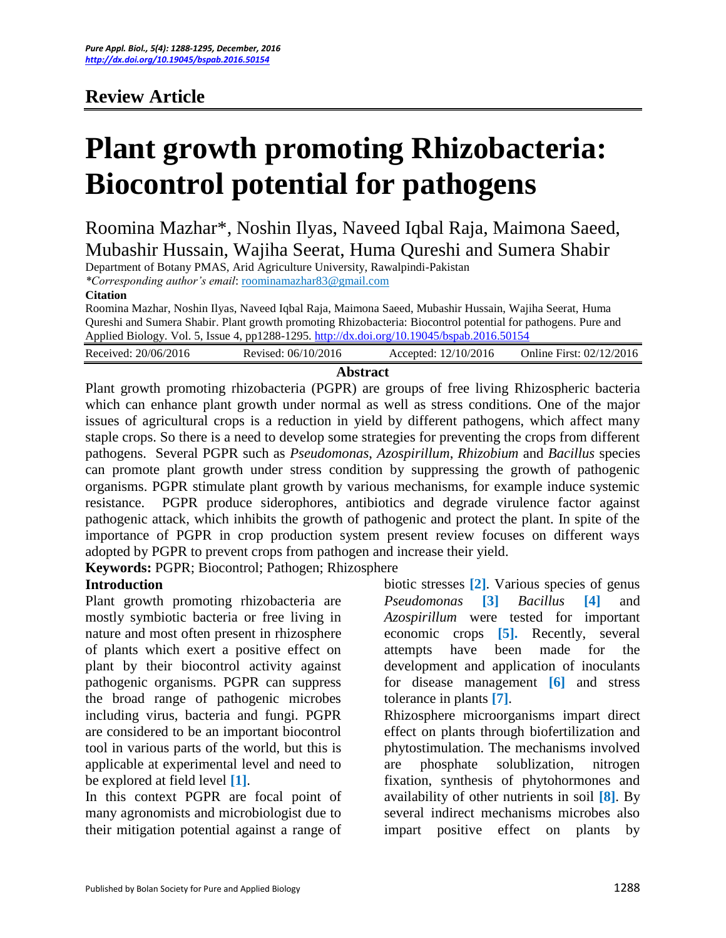# **Review Article**

# **Plant growth promoting Rhizobacteria: Biocontrol potential for pathogens**

Roomina Mazhar\*, Noshin Ilyas, Naveed Iqbal Raja, Maimona Saeed, Mubashir Hussain, Wajiha Seerat, Huma Qureshi and Sumera Shabir

Department of Botany PMAS, Arid Agriculture University, Rawalpindi-Pakistan

*\*Corresponding author's email*: roominamazhar83@gmail.com

#### **Citation**

Roomina Mazhar, Noshin Ilyas, Naveed Iqbal Raja, Maimona Saeed, Mubashir Hussain, Wajiha Seerat, Huma Qureshi and Sumera Shabir. Plant growth promoting Rhizobacteria: Biocontrol potential for pathogens. Pure and Applied Biology. Vol. 5, Issue 4, pp1288-1295. <http://dx.doi.org/10.19045/bspab.2016.50154>

| Received: 20/06/2016 | Revised: 06/10/2016 | Accepted: 12/10/2016 | Online First: 02/12/2016 |
|----------------------|---------------------|----------------------|--------------------------|
|                      |                     |                      |                          |

#### **Abstract**

Plant growth promoting rhizobacteria (PGPR) are groups of free living Rhizospheric bacteria which can enhance plant growth under normal as well as stress conditions. One of the major issues of agricultural crops is a reduction in yield by different pathogens, which affect many staple crops. So there is a need to develop some strategies for preventing the crops from different pathogens. Several PGPR such as *Pseudomonas*, *Azospirillum*, *Rhizobium* and *Bacillus* species can promote plant growth under stress condition by suppressing the growth of pathogenic organisms. PGPR stimulate plant growth by various mechanisms, for example induce systemic resistance. PGPR produce siderophores, antibiotics and degrade virulence factor against pathogenic attack, which inhibits the growth of pathogenic and protect the plant. In spite of the importance of PGPR in crop production system present review focuses on different ways adopted by PGPR to prevent crops from pathogen and increase their yield.

**Keywords:** PGPR; Biocontrol; Pathogen; Rhizosphere

#### **Introduction**

Plant growth promoting rhizobacteria are mostly symbiotic bacteria or free living in nature and most often present in rhizosphere of plants which exert a positive effect on plant by their biocontrol activity against pathogenic organisms. PGPR can suppress the broad range of pathogenic microbes including virus, bacteria and fungi. PGPR are considered to be an important biocontrol tool in various parts of the world, but this is applicable at experimental level and need to be explored at field level **[1]**.

In this context PGPR are focal point of many agronomists and microbiologist due to their mitigation potential against a range of

biotic stresses **[2]**. Various species of genus *Pseudomonas* **[3]** *Bacillus* **[4]** and *Azospirillum* were tested for important economic crops **[5].** Recently, several attempts have been made for the development and application of inoculants for disease management **[6]** and stress tolerance in plants **[7]**.

Rhizosphere microorganisms impart direct effect on plants through biofertilization and phytostimulation. The mechanisms involved are phosphate solublization, nitrogen fixation, synthesis of phytohormones and availability of other nutrients in soil **[8]**. By several indirect mechanisms microbes also impart positive effect on plants by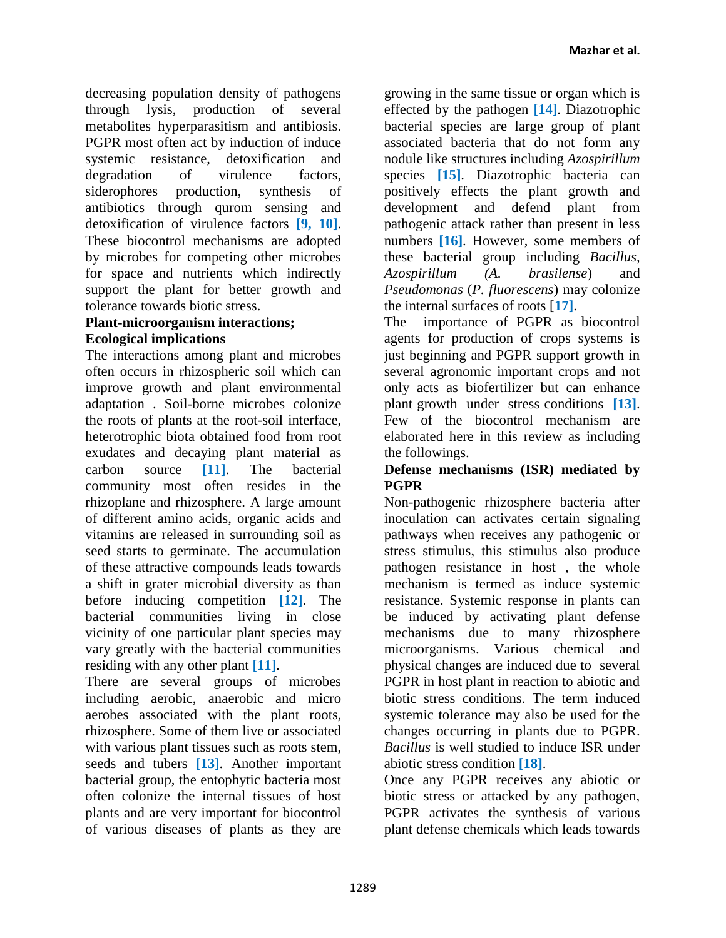decreasing population density of pathogens through lysis, production of several metabolites hyperparasitism and antibiosis. PGPR most often act by induction of induce systemic resistance, detoxification and degradation of virulence factors, siderophores production, synthesis of antibiotics through qurom sensing and detoxification of virulence factors **[9, 10]**. These biocontrol mechanisms are adopted by microbes for competing other microbes for space and nutrients which indirectly support the plant for better growth and tolerance towards biotic stress.

#### **Plant-microorganism interactions; Ecological implications**

The interactions among plant and microbes often occurs in rhizospheric soil which can improve growth and plant environmental adaptation . Soil-borne microbes colonize the roots of plants at the root-soil interface, heterotrophic biota obtained food from root exudates and decaying plant material as carbon source **[11]**. The bacterial community most often resides in the rhizoplane and rhizosphere. A large amount of different amino acids, organic acids and vitamins are released in surrounding soil as seed starts to germinate. The accumulation of these attractive compounds leads towards a shift in grater microbial diversity as than before inducing competition **[12]**. The bacterial communities living in close vicinity of one particular plant species may vary greatly with the bacterial communities residing with any other plant **[11]**.

There are several groups of microbes including aerobic, anaerobic and micro aerobes associated with the plant roots, rhizosphere. Some of them live or associated with various plant tissues such as roots stem, seeds and tubers **[13]**. Another important bacterial group, the entophytic bacteria most often colonize the internal tissues of host plants and are very important for biocontrol of various diseases of plants as they are

growing in the same tissue or organ which is effected by the pathogen **[14]**. Diazotrophic bacterial species are large group of plant associated bacteria that do not form any nodule like structures including *Azospirillum* species **[15]**. Diazotrophic bacteria can positively effects the plant growth and development and defend plant from pathogenic attack rather than present in less numbers **[16]**. However, some members of these bacterial group including *Bacillus, Azospirillum (A. brasilense*) and *Pseudomonas* (*P. fluorescens*) may colonize the internal surfaces of roots [**17]**.

The importance of PGPR as biocontrol agents for production of crops systems is just beginning and PGPR support growth in several agronomic important crops and not only acts as biofertilizer but can enhance plant growth under stress conditions **[13]**. Few of the biocontrol mechanism are elaborated here in this review as including the followings.

#### **Defense mechanisms (ISR) mediated by PGPR**

Non-pathogenic rhizosphere bacteria after inoculation can activates certain signaling pathways when receives any pathogenic or stress stimulus, this stimulus also produce pathogen resistance in host , the whole mechanism is termed as induce systemic resistance. Systemic response in plants can be induced by activating plant defense mechanisms due to many rhizosphere microorganisms. Various chemical and physical changes are induced due to several PGPR in host plant in reaction to abiotic and biotic stress conditions. The term induced systemic tolerance may also be used for the changes occurring in plants due to PGPR. *Bacillus* is well studied to induce ISR under abiotic stress condition **[18]**.

Once any PGPR receives any abiotic or biotic stress or attacked by any pathogen, PGPR activates the synthesis of various plant defense chemicals which leads towards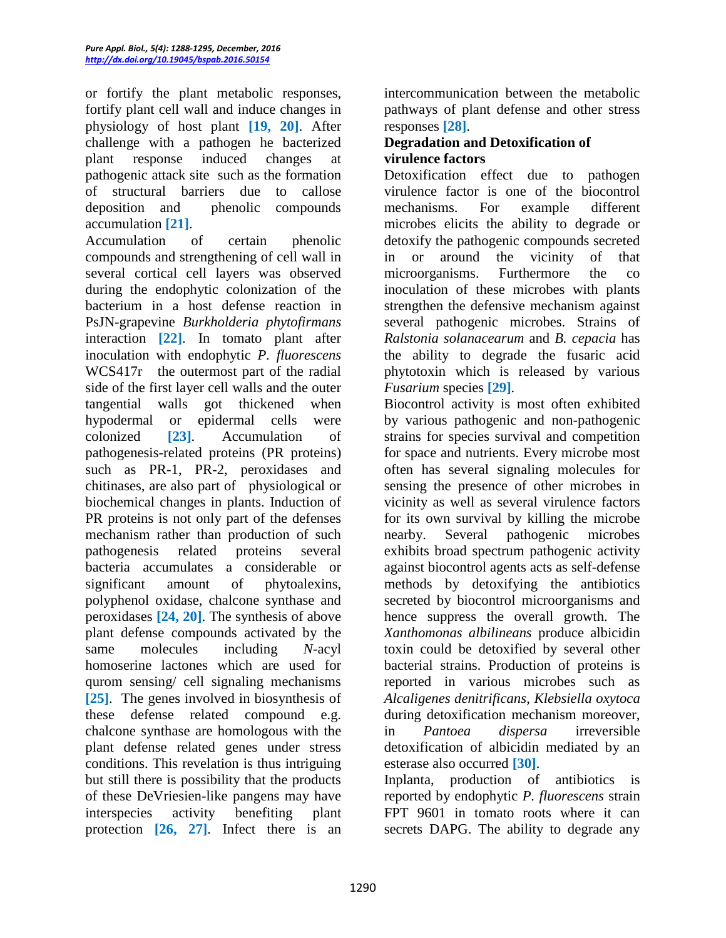or fortify the plant metabolic responses, fortify plant cell wall and induce changes in physiology of host plant **[19, 20]**. After challenge with a pathogen he bacterized plant response induced changes at pathogenic attack site such as the formation of structural barriers due to callose deposition and phenolic compounds accumulation **[21]**.

Accumulation of certain phenolic compounds and strengthening of cell wall in several cortical cell layers was observed during the endophytic colonization of the bacterium in a host defense reaction in PsJN-grapevine *Burkholderia phytofirmans* interaction **[22]**. In tomato plant after inoculation with endophytic *P. fluorescens*  WCS417r the outermost part of the radial side of the first layer cell walls and the outer tangential walls got thickened when hypodermal or epidermal cells were colonized **[23]**. Accumulation of pathogenesis-related proteins (PR proteins) such as PR-1, PR-2, peroxidases and chitinases, are also part of physiological or biochemical changes in plants. Induction of PR proteins is not only part of the defenses mechanism rather than production of such pathogenesis related proteins several bacteria accumulates a considerable or significant amount of phytoalexins, polyphenol oxidase, chalcone synthase and peroxidases **[24, 20]**. The synthesis of above plant defense compounds activated by the same molecules including *N*-acyl homoserine lactones which are used for qurom sensing/ cell signaling mechanisms **[25]**. The genes involved in biosynthesis of these defense related compound e.g. chalcone synthase are homologous with the plant defense related genes under stress conditions. This revelation is thus intriguing but still there is possibility that the products of these DeVriesien-like pangens may have interspecies activity benefiting plant protection **[26, 27]**. Infect there is an

intercommunication between the metabolic pathways of plant defense and other stress responses **[28]**.

#### **Degradation and Detoxification of virulence factors**

Detoxification effect due to pathogen virulence factor is one of the biocontrol mechanisms. For example different microbes elicits the ability to degrade or detoxify the pathogenic compounds secreted in or around the vicinity of that microorganisms. Furthermore the co inoculation of these microbes with plants strengthen the defensive mechanism against several pathogenic microbes. Strains of *Ralstonia solanacearum* and *B. cepacia* has the ability to degrade the fusaric acid phytotoxin which is released by various *Fusarium* species **[29]**.

Biocontrol activity is most often exhibited by various pathogenic and non-pathogenic strains for species survival and competition for space and nutrients. Every microbe most often has several signaling molecules for sensing the presence of other microbes in vicinity as well as several virulence factors for its own survival by killing the microbe nearby. Several pathogenic microbes exhibits broad spectrum pathogenic activity against biocontrol agents acts as self-defense methods by detoxifying the antibiotics secreted by biocontrol microorganisms and hence suppress the overall growth. The *Xanthomonas albilineans* produce albicidin toxin could be detoxified by several other bacterial strains. Production of proteins is reported in various microbes such as *Alcaligenes denitrificans*, *Klebsiella oxytoca* during detoxification mechanism moreover, in *Pantoea dispersa* irreversible detoxification of albicidin mediated by an esterase also occurred **[30]**.

Inplanta, production of antibiotics is reported by endophytic *P. fluorescens* strain FPT 9601 in tomato roots where it can secrets DAPG. The ability to degrade any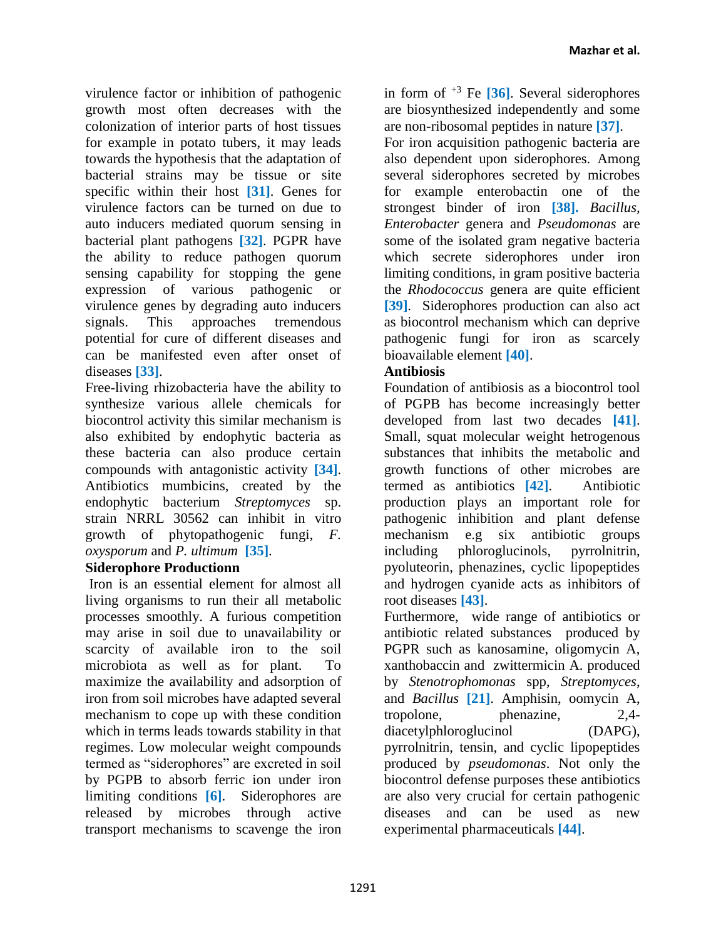virulence factor or inhibition of pathogenic growth most often decreases with the colonization of interior parts of host tissues for example in potato tubers, it may leads towards the hypothesis that the adaptation of bacterial strains may be tissue or site specific within their host **[31]**. Genes for virulence factors can be turned on due to auto inducers mediated quorum sensing in bacterial plant pathogens **[32]**. PGPR have the ability to reduce pathogen quorum sensing capability for stopping the gene expression of various pathogenic or virulence genes by degrading auto inducers signals. This approaches tremendous potential for cure of different diseases and can be manifested even after onset of diseases **[33]**.

Free-living rhizobacteria have the ability to synthesize various allele chemicals for biocontrol activity this similar mechanism is also exhibited by endophytic bacteria as these bacteria can also produce certain compounds with antagonistic activity **[34]**. Antibiotics mumbicins, created by the endophytic bacterium *Streptomyces* sp. strain NRRL 30562 can inhibit in vitro growth of phytopathogenic fungi, *F. oxysporum* and *P. ultimum* **[35]**.

#### **Siderophore Productionn**

Iron is an essential element for almost all living organisms to run their all metabolic processes smoothly. A furious competition may arise in soil due to unavailability or scarcity of available iron to the soil microbiota as well as for plant. To maximize the availability and adsorption of iron from soil microbes have adapted several mechanism to cope up with these condition which in terms leads towards stability in that regimes. Low molecular weight compounds termed as "siderophores" are excreted in soil by PGPB to absorb ferric ion under iron limiting conditions **[6]**. Siderophores are released by microbes through active transport mechanisms to scavenge the iron

in form of +3 Fe **[36]**. Several siderophores are biosynthesized independently and some are non-ribosomal peptides in nature **[37]**.

For iron acquisition pathogenic bacteria are also dependent upon siderophores. Among several siderophores secreted by microbes for example enterobactin one of the strongest binder of iron **[38].** *Bacillus, Enterobacter* genera and *Pseudomonas* are some of the isolated gram negative bacteria which secrete siderophores under iron limiting conditions, in gram positive bacteria the *Rhodococcus* genera are quite efficient **[39]**. Siderophores production can also act as biocontrol mechanism which can deprive pathogenic fungi for iron as scarcely bioavailable element **[40]**.

### **Antibiosis**

Foundation of antibiosis as a biocontrol tool of PGPB has become increasingly better developed from last two decades **[41]**. Small, squat molecular weight hetrogenous substances that inhibits the metabolic and growth functions of other microbes are termed as antibiotics **[42]**. Antibiotic production plays an important role for pathogenic inhibition and plant defense mechanism e.g six antibiotic groups including phloroglucinols, pyrrolnitrin, pyoluteorin, phenazines, cyclic lipopeptides and hydrogen cyanide acts as inhibitors of root diseases **[43]**.

Furthermore, wide range of antibiotics or antibiotic related substances produced by PGPR such as kanosamine, oligomycin A, xanthobaccin and zwittermicin A. produced by *Stenotrophomonas* spp, *Streptomyces*, and *Bacillus* **[21]**. Amphisin, oomycin A, tropolone, phenazine, 2,4 diacetylphloroglucinol (DAPG), pyrrolnitrin, tensin, and cyclic lipopeptides produced by *pseudomonas*. Not only the biocontrol defense purposes these antibiotics are also very crucial for certain pathogenic diseases and can be used as new experimental pharmaceuticals **[44]**.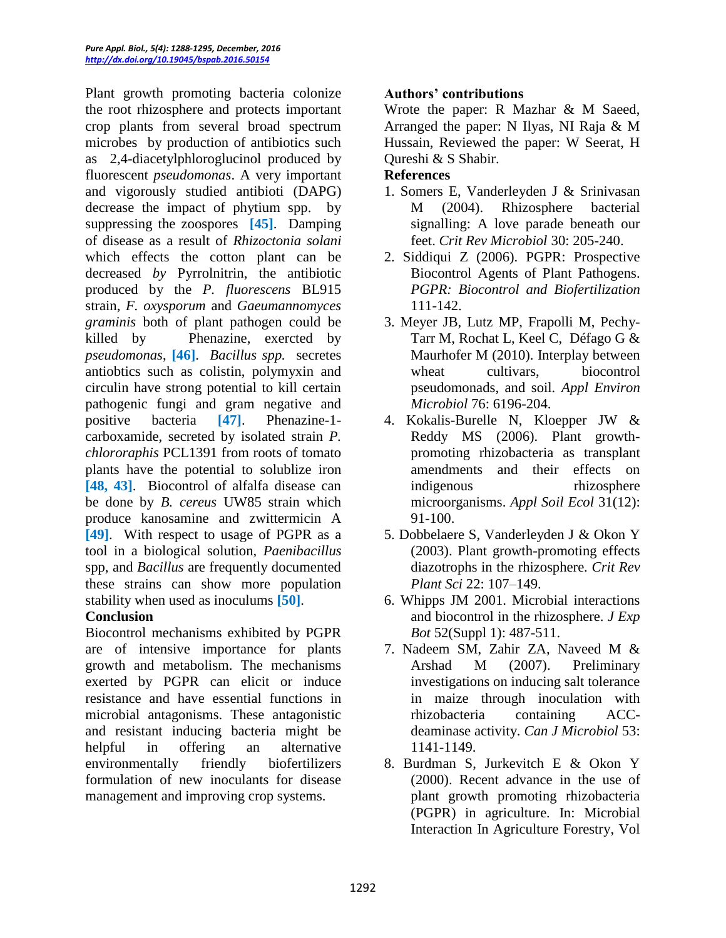Plant growth promoting bacteria colonize the root rhizosphere and protects important crop plants from several broad spectrum microbes by production of antibiotics such as 2,4-diacetylphloroglucinol produced by fluorescent *pseudomonas*. A very important and vigorously studied antibioti (DAPG) decrease the impact of phytium spp. by suppressing the zoospores **[45]**. Damping of disease as a result of *Rhizoctonia solani*  which effects the cotton plant can be decreased *by* Pyrrolnitrin, the antibiotic produced by the *P. fluorescens* BL915 strain, *F. oxysporum* and *Gaeumannomyces graminis* both of plant pathogen could be killed by Phenazine, exercted by *pseudomonas*, **[46]**. *Bacillus spp.* secretes antiobtics such as colistin, polymyxin and circulin have strong potential to kill certain pathogenic fungi and gram negative and positive bacteria **[47]**. Phenazine-1 carboxamide, secreted by isolated strain *P. chlororaphis* PCL1391 from roots of tomato plants have the potential to solublize iron **[48, 43]**. Biocontrol of alfalfa disease can be done by *B. cereus* UW85 strain which produce kanosamine and zwittermicin A **[49]**. With respect to usage of PGPR as a tool in a biological solution, *Paenibacillus*  spp, and *Bacillus* are frequently documented these strains can show more population stability when used as inoculums **[50]**.

### **Conclusion**

Biocontrol mechanisms exhibited by PGPR are of intensive importance for plants growth and metabolism. The mechanisms exerted by PGPR can elicit or induce resistance and have essential functions in microbial antagonisms. These antagonistic and resistant inducing bacteria might be helpful in offering an alternative environmentally friendly biofertilizers formulation of new inoculants for disease management and improving crop systems.

### **Authors' contributions**

Wrote the paper: R Mazhar & M Saeed, Arranged the paper: N Ilyas, NI Raja & M Hussain, Reviewed the paper: W Seerat, H Qureshi & S Shabir.

## **References**

- 1. Somers E, Vanderleyden J & Srinivasan M (2004). Rhizosphere bacterial signalling: A love parade beneath our feet. *Crit Rev Microbiol* 30: 205-240.
- 2. Siddiqui Z (2006). PGPR: Prospective Biocontrol Agents of Plant Pathogens. *PGPR: Biocontrol and Biofertilization* 111-142.
- 3. Meyer JB, Lutz MP, Frapolli M, Pechy-Tarr M, Rochat L, Keel C, Défago G & Maurhofer M (2010). Interplay between wheat cultivars, biocontrol pseudomonads, and soil*. Appl Environ Microbiol* 76: 6196-204.
- 4. Kokalis-Burelle N, Kloepper JW & Reddy MS (2006). Plant growthpromoting rhizobacteria as transplant amendments and their effects on indigenous rhizosphere microorganisms. *Appl Soil Ecol* 31(12): 91-100.
- 5. Dobbelaere S, Vanderleyden J & Okon Y (2003). Plant growth-promoting effects diazotrophs in the rhizosphere. *Crit Rev Plant Sci* 22: 107–149.
- 6. Whipps JM 2001. Microbial interactions and biocontrol in the rhizosphere. *J Exp Bot* 52(Suppl 1): 487-511.
- 7. Nadeem SM, Zahir ZA, Naveed M & Arshad M (2007). Preliminary investigations on inducing salt tolerance in maize through inoculation with rhizobacteria containing ACCdeaminase activity. *Can J Microbiol* 53: 1141-1149.
- 8. Burdman S, Jurkevitch E & Okon Y (2000). Recent advance in the use of plant growth promoting rhizobacteria (PGPR) in agriculture. In: Microbial Interaction In Agriculture Forestry, Vol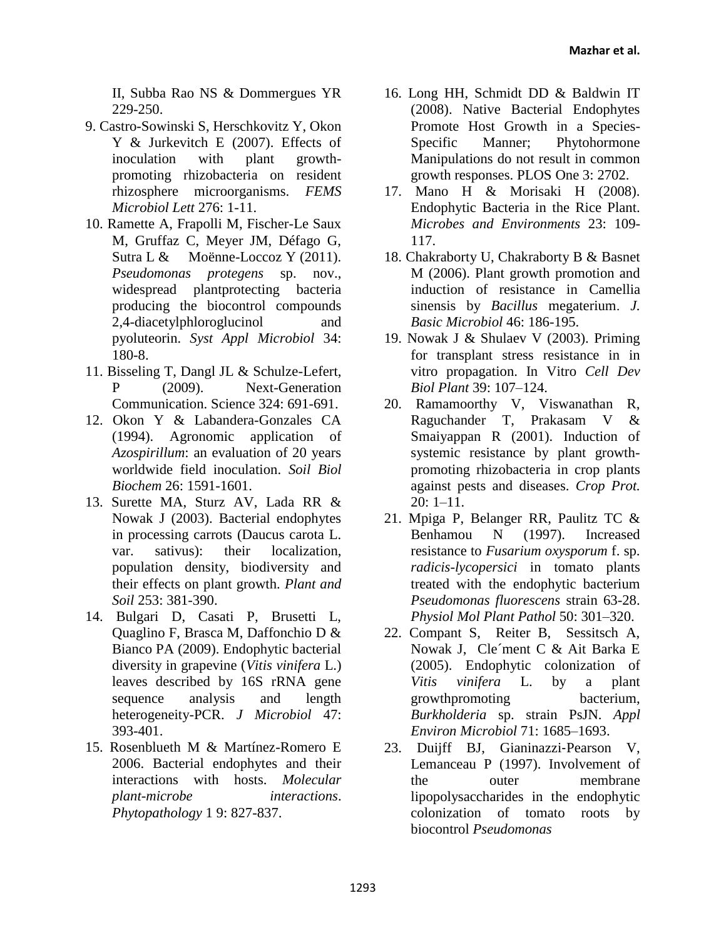II, Subba Rao NS & Dommergues YR 229-250.

- 9. Castro-Sowinski S, Herschkovitz Y, Okon Y & Jurkevitch E (2007). Effects of inoculation with plant growthpromoting rhizobacteria on resident rhizosphere microorganisms. *FEMS Microbiol Lett* 276: 1-11.
- 10. Ramette A, Frapolli M, Fischer-Le Saux M, Gruffaz C, Meyer JM, Défago G, Sutra L & Moënne-Loccoz Y (2011). *Pseudomonas protegens* sp. nov., widespread plantprotecting bacteria producing the biocontrol compounds 2,4-diacetylphloroglucinol and pyoluteorin. *Syst Appl Microbiol* 34: 180-8.
- 11. Bisseling T, Dangl JL & Schulze-Lefert, P (2009). Next-Generation Communication. Science 324: 691-691.
- 12. Okon Y & Labandera-Gonzales CA (1994). Agronomic application of *Azospirillum*: an evaluation of 20 years worldwide field inoculation. *Soil Biol Biochem* 26: 1591-1601.
- 13. Surette MA, Sturz AV, Lada RR & Nowak J (2003). Bacterial endophytes in processing carrots (Daucus carota L. var. sativus): their localization, population density, biodiversity and their effects on plant growth. *Plant and Soil* 253: 381-390.
- 14. Bulgari D, Casati P, Brusetti L, Quaglino F, Brasca M, Daffonchio D & Bianco PA (2009). Endophytic bacterial diversity in grapevine (*Vitis vinifera* L.) leaves described by 16S rRNA gene sequence analysis and length heterogeneity-PCR. *J Microbiol* 47: 393-401.
- 15. Rosenblueth M & Martínez-Romero E 2006. Bacterial endophytes and their interactions with hosts. *Molecular plant-microbe interactions*. *Phytopathology* 1 9: 827-837.
- 16. Long HH, Schmidt DD & Baldwin IT (2008). Native Bacterial Endophytes Promote Host Growth in a Species-Specific Manner; Phytohormone Manipulations do not result in common growth responses. PLOS One 3: 2702.
- 17. Mano H & Morisaki H (2008). Endophytic Bacteria in the Rice Plant. *Microbes and Environments* 23: 109- 117.
- 18. Chakraborty U, Chakraborty B & Basnet M (2006). Plant growth promotion and induction of resistance in Camellia sinensis by *Bacillus* megaterium. *J. Basic Microbiol* 46: 186-195.
- 19. Nowak J & Shulaev V (2003). Priming for transplant stress resistance in in vitro propagation. In Vitro *Cell Dev Biol Plant* 39: 107–124.
- 20. Ramamoorthy V, Viswanathan R, Raguchander T, Prakasam V & Smaiyappan R (2001). Induction of systemic resistance by plant growthpromoting rhizobacteria in crop plants against pests and diseases. *Crop Prot.*  $20: 1 - 11.$
- 21. Mpiga P, Belanger RR, Paulitz TC & Benhamou N (1997). Increased resistance to *Fusarium oxysporum* f. sp. *radicis-lycopersici* in tomato plants treated with the endophytic bacterium *Pseudomonas fluorescens* strain 63-28. *Physiol Mol Plant Pathol* 50: 301–320.
- 22. Compant S, Reiter B, Sessitsch A, Nowak J, Cle´ment C & Ait Barka E (2005). Endophytic colonization of *Vitis vinifera* L. by a plant growthpromoting bacterium, *Burkholderia* sp. strain PsJN. *Appl Environ Microbiol* 71: 1685–1693.
- 23. Duijff BJ, Gianinazzi‐Pearson V, Lemanceau P (1997). Involvement of the outer membrane lipopolysaccharides in the endophytic colonization of tomato roots by biocontrol *Pseudomonas*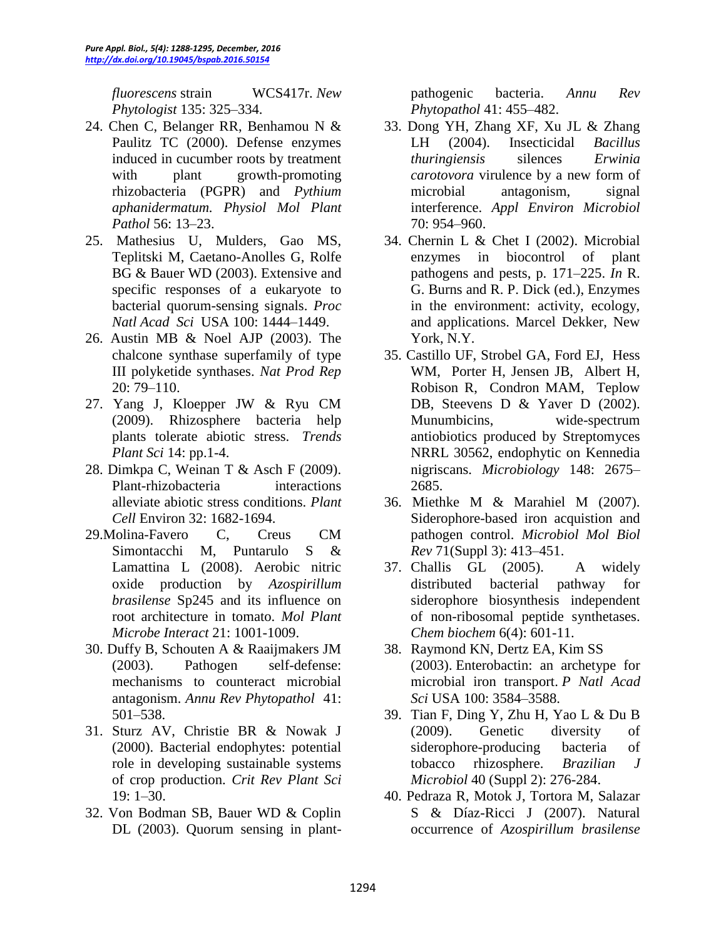*fluorescens* strain WCS417r. *New Phytologist* 135: 325–334.

- 24. Chen C, Belanger RR, Benhamou N & Paulitz TC (2000). Defense enzymes induced in cucumber roots by treatment with plant growth-promoting rhizobacteria (PGPR) and *Pythium aphanidermatum. Physiol Mol Plant Pathol* 56: 13–23.
- 25. Mathesius U, Mulders, Gao MS, Teplitski M, Caetano-Anolles G, Rolfe BG & Bauer WD (2003). Extensive and specific responses of a eukaryote to bacterial quorum-sensing signals. *Proc Natl Acad Sci* USA 100: 1444–1449.
- 26. Austin MB & Noel AJP (2003). The chalcone synthase superfamily of type III polyketide synthases. *Nat Prod Rep* 20: 79–110.
- 27. Yang J, Kloepper JW & Ryu CM (2009). Rhizosphere bacteria help plants tolerate abiotic stress. *Trends Plant Sci* 14: pp.1-4.
- 28. Dimkpa C, Weinan T & Asch F (2009). Plant-rhizobacteria interactions alleviate abiotic stress conditions. *Plant Cell* Environ 32: 1682-1694.
- 29.Molina-Favero C, Creus CM Simontacchi M, Puntarulo S & Lamattina L (2008). Aerobic nitric oxide production by *Azospirillum brasilense* Sp245 and its influence on root architecture in tomato. *Mol Plant Microbe Interact* 21: 1001-1009.
- 30. Duffy B, Schouten A & Raaijmakers JM (2003). Pathogen self-defense: mechanisms to counteract microbial antagonism. *Annu Rev Phytopathol* 41: 501–538.
- 31. Sturz AV, Christie BR & Nowak J (2000). Bacterial endophytes: potential role in developing sustainable systems of crop production. *Crit Rev Plant Sci* 19: 1–30.
- 32. Von Bodman SB, Bauer WD & Coplin DL (2003). Quorum sensing in plant-

pathogenic bacteria. *Annu Rev Phytopathol* 41: 455–482.

- 33. Dong YH, Zhang XF, Xu JL & Zhang LH (2004). Insecticidal *Bacillus thuringiensis* silences *Erwinia carotovora* virulence by a new form of microbial antagonism, signal interference. *Appl Environ Microbiol* 70: 954–960.
- 34. Chernin L & Chet I (2002). Microbial enzymes in biocontrol of plant pathogens and pests, p. 171–225. *In* R. G. Burns and R. P. Dick (ed.), Enzymes in the environment: activity, ecology, and applications. Marcel Dekker, New York, N.Y.
- 35. Castillo UF, Strobel GA, Ford EJ, Hess WM, Porter H, Jensen JB, Albert H, Robison R, Condron MAM, Teplow DB, Steevens D & Yaver D (2002). Munumbicins, wide-spectrum antiobiotics produced by Streptomyces NRRL 30562, endophytic on Kennedia nigriscans. *Microbiology* 148: 2675– 2685.
- 36. Miethke M & Marahiel M (2007). Siderophore-based iron acquistion and pathogen control. *Microbiol Mol Biol Rev* 71(Suppl 3): 413–451.
- 37. [Challis GL](http://www.ncbi.nlm.nih.gov/pubmed/?term=Challis%20GL%5BAuthor%5D&cauthor=true&cauthor_uid=15719346) (2005). A widely distributed bacterial pathway for siderophore biosynthesis independent of non-ribosomal peptide synthetases. *[Chem biochem](http://www.ncbi.nlm.nih.gov/pubmed/15719346)* 6(4): 601-11.
- 38. Raymond KN, Dertz EA, Kim SS (2003). Enterobactin: an archetype for microbial iron transport. *P Natl Acad Sci* USA 100: 3584–3588.
- 39. Tian F, Ding Y, Zhu H, Yao L & Du B (2009). Genetic diversity of siderophore-producing bacteria of tobacco rhizosphere. *Brazilian J Microbiol* 40 (Suppl 2): 276-284.
- 40. Pedraza R, Motok J, Tortora M, Salazar S & Díaz-Ricci J (2007). Natural occurrence of *Azospirillum brasilense*